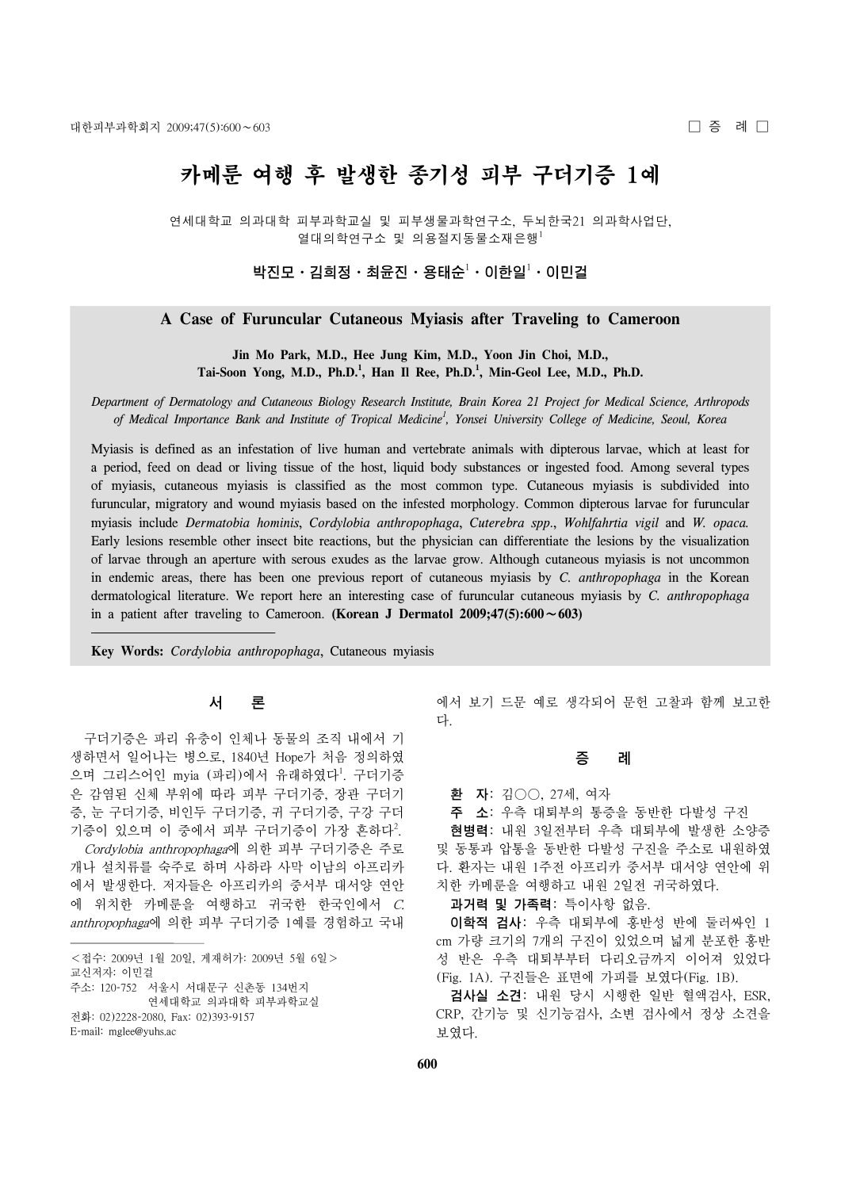# 카메룬 여행 후 발생한 종기성 피부 구더기증 1예

연세대학교 의과대학 피부과학교실 및 피부생물과학연구소, 두뇌한국21 의과학사업단, 열대의학연구소 및 의용절지동물소재은행 $^1$ 

박진모ㆍ김희정ㆍ최윤진ㆍ용태순 $^1$ ㆍ이한일 $^1$ ㆍ이민걸

## **A Case of Furuncular Cutaneous Myiasis after Traveling to Cameroon**

**Jin Mo Park, M.D., Hee Jung Kim, M.D., Yoon Jin Choi, M.D.,** Tai-Soon Yong, M.D., Ph.D.<sup>1</sup>, Han Il Ree, Ph.D.<sup>1</sup>, Min-Geol Lee, M.D., Ph.D.

*Department of Dermatology and Cutaneous Biology Research Institute, Brain Korea 21 Project for Medical Science, Arthropods of Medical Importance Bank and Institute of Tropical Medicine1 , Yonsei University College of Medicine, Seoul, Korea*

Myiasis is defined as an infestation of live human and vertebrate animals with dipterous larvae, which at least for a period, feed on dead or living tissue of the host, liquid body substances or ingested food. Among several types of myiasis, cutaneous myiasis is classified as the most common type. Cutaneous myiasis is subdivided into furuncular, migratory and wound myiasis based on the infested morphology. Common dipterous larvae for furuncular myiasis include *Dermatobia hominis*, *Cordylobia anthropophaga*, *Cuterebra spp*., *Wohlfahrtia vigil* and *W. opaca.*  Early lesions resemble other insect bite reactions, but the physician can differentiate the lesions by the visualization of larvae through an aperture with serous exudes as the larvae grow. Although cutaneous myiasis is not uncommon in endemic areas, there has been one previous report of cutaneous myiasis by *C. anthropophaga* in the Korean dermatological literature. We report here an interesting case of furuncular cutaneous myiasis by *C. anthropophaga* in a patient after traveling to Cameroon. **(Korean J Dermatol 2009;47(5):600**∼**603)**

**Key Words:** *Cordylobia anthropophaga*, Cutaneous myiasis

## 서 론

구더기증은 파리 유충이 인체나 동물의 조직 내에서 기 생하면서 일어나는 병으로, 1840년 Hope가 처음 정의하였 으며 그리스어인 myia (파리)에서 유래하였다<sup>1</sup>. 구더기증 은 감염된 신체 부위에 따라 피부 구더기증, 장관 구더기 증, 눈 구더기증, 비인두 구더기증, 귀 구더기증, 구강 구더 기증이 있으며 이 중에서 피부 구더기증이 가장 흔하다<sup>2</sup>. Cordylobia anthropophaga에 의한 피부 구더기증은 주로 개나 설치류를 숙주로 하며 사하라 사막 이남의 아프리카 에서 발생한다. 저자들은 아프리카의 중서부 대서양 연안 에 위치한 카메룬을 여행하고 귀국한 한국인에서 C. anthropophaga에 의한 피부 구더기증 1예를 경험하고 국내

전화: 02)2228-2080, Fax: 02)393-9157

에서 보기 드문 예로 생각되어 문헌 고찰과 함께 보고한 다.

### 증 례

환 자: 김○○, 27세, 여자

주 소: 우측 대퇴부의 통증을 동반한 다발성 구진 현병력: 내원 3일전부터 우측 대퇴부에 발생한 소양증 및 동통과 압통을 동반한 다발성 구진을 주소로 내원하였 다. 환자는 내원 1주전 아프리카 중서부 대서양 연안에 위 치한 카메룬을 여행하고 내원 2일전 귀국하였다.

과거력 및 가족력: 특이사항 없음.

이학적 검사: 우측 대퇴부에 홍반성 반에 둘러싸인 1 cm 가량 크기의 7개의 구진이 있었으며 넓게 분포한 홍반 성 반은 우측 대퇴부부터 다리오금까지 이어져 있었다 (Fig. 1A). 구진들은 표면에 가피를 보였다(Fig. 1B).

검사실 소견: 내원 당시 시행한 일반 혈액검사, ESR, CRP, 간기능 및 신기능검사, 소변 검사에서 정상 소견을 보였다.

<sup>&</sup>lt;접수: 2009년 1월 20일, 게재허가: 2009년 5월 6일>

교신저자: 이민걸

주소: 120-752 서울시 서대문구 신촌동 134번지 연세대학교 의과대학 피부과학교실

E-mail: mglee@yuhs.ac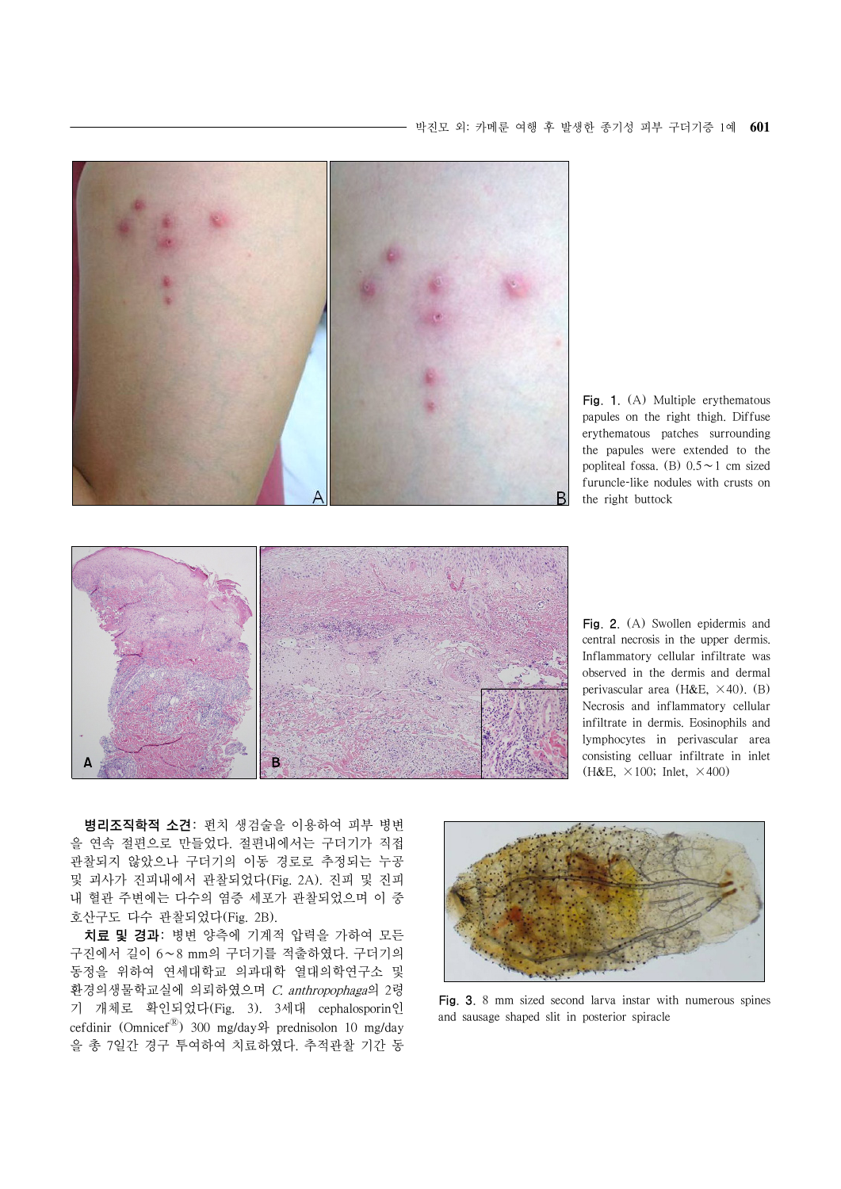

Fig. 1. (A) Multiple erythematous papules on the right thigh. Diffuse erythematous patches surrounding the papules were extended to the popliteal fossa. (B) 0.5∼1 cm sized furuncle-like nodules with crusts on the right buttock



Fig. 2. (A) Swollen epidermis and central necrosis in the upper dermis. Inflammatory cellular infiltrate was observed in the dermis and dermal perivascular area (H&E,  $\times$ 40). (B) Necrosis and inflammatory cellular infiltrate in dermis. Eosinophils and lymphocytes in perivascular area consisting celluar infiltrate in inlet (H&E,  $\times$ 100; Inlet,  $\times$ 400)

병리조직학적 소견: 펀치 생검술을 이용하여 피부 병변 을 연속 절편으로 만들었다. 절편내에서는 구더기가 직접 관찰되지 않았으나 구더기의 이동 경로로 추정되는 누공 및 괴사가 진피내에서 관찰되었다(Fig. 2A). 진피 및 진피 내 혈관 주변에는 다수의 염증 세포가 관찰되었으며 이 중 호산구도 다수 관찰되었다(Fig. 2B).

치료 및 경과: 병변 양측에 기계적 압력을 가하여 모든 구진에서 길이 6∼8 mm의 구더기를 적출하였다. 구더기의 동정을 위하여 연세대학교 의과대학 열대의학연구소 및 환경의생물학교실에 의뢰하였으며 C. anthropophaga의 2령 기 개체로 확인되었다(Fig. 3). 3세대 cephalosporin인 cefdinir (OmnicefⓇ) 300 mg/day와 prednisolon 10 mg/day 을 총 7일간 경구 투여하여 치료하였다. 추적관찰 기간 동



Fig. 3. 8 mm sized second larva instar with numerous spines and sausage shaped slit in posterior spiracle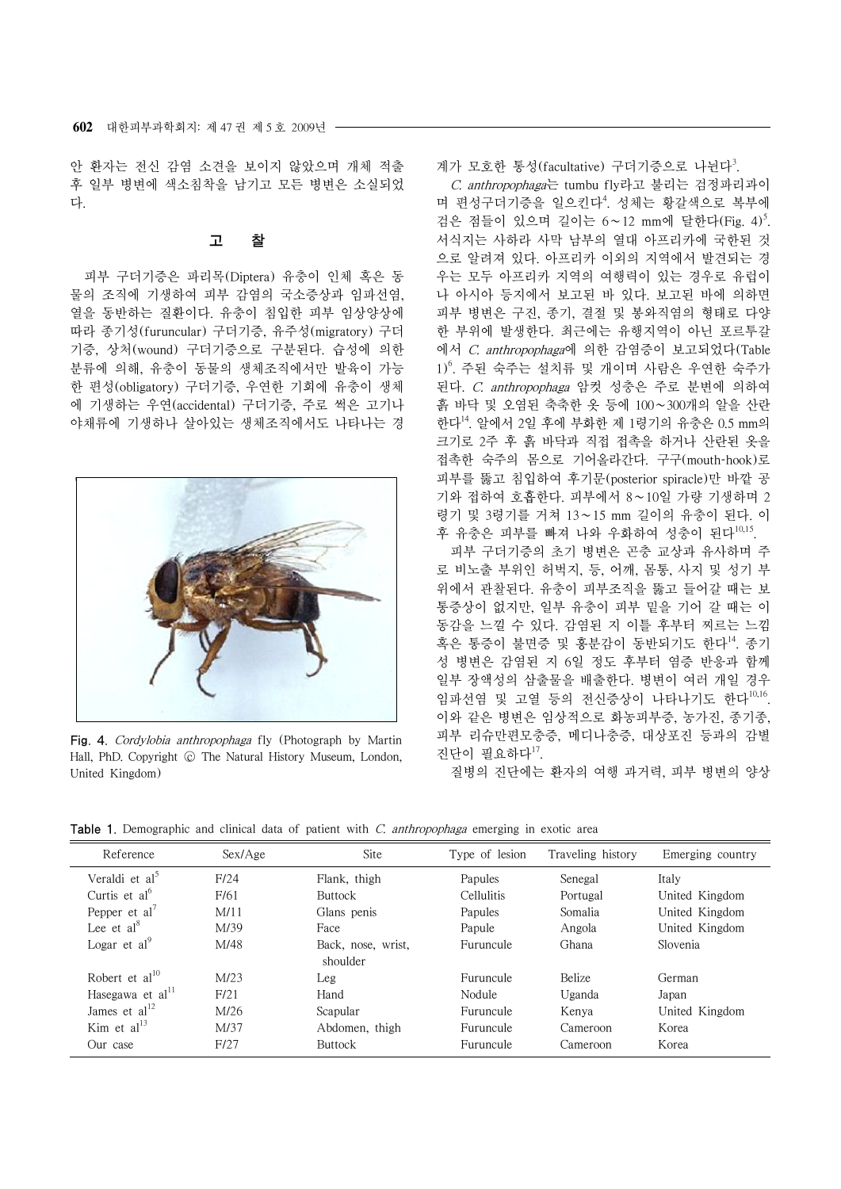안 환자는 전신 감염 소견을 보이지 않았으며 개체 적출 후 일부 병변에 색소침착을 남기고 모든 병변은 소실되었 다.

#### 고 찰

피부 구더기증은 파리목(Diptera) 유충이 인체 혹은 동 물의 조직에 기생하여 피부 감염의 국소증상과 임파선염, 열을 동반하는 질환이다. 유충이 침입한 피부 임상양상에 따라 종기성(furuncular) 구더기증, 유주성(migratory) 구더 기증, 상처(wound) 구더기증으로 구분된다. 습성에 의한 분류에 의해, 유충이 동물의 생체조직에서만 발육이 가능 한 편성(obligatory) 구더기증, 우연한 기회에 유충이 생체 에 기생하는 우연(accidental) 구더기증, 주로 썩은 고기나 야채류에 기생하나 살아있는 생체조직에서도 나타나는 경



Fig. 4. Cordylobia anthropophaga fly (Photograph by Martin Hall, PhD. Copyright © The Natural History Museum, London, United Kingdom)

계가 모호한 통성(facultative) 구더기증으로 나뉜다<sup>3</sup>.

C. anthropophaga는 tumbu fly라고 불리는 검정파리과이 며 편성구더기증을 일으킨다<sup>4</sup>. 성체는 황갈색으로 복부에 검은 점들이 있으며 길이는 6∼12 mm에 달한다(Fig. 4)<sup>5</sup> . 서식지는 사하라 사막 남부의 열대 아프리카에 국한된 것 으로 알려져 있다. 아프리카 이외의 지역에서 발견되는 경 우는 모두 아프리카 지역의 여행력이 있는 경우로 유럽이 나 아시아 등지에서 보고된 바 있다. 보고된 바에 의하면 피부 병변은 구진, 종기, 결절 및 봉와직염의 형태로 다양 한 부위에 발생한다. 최근에는 유행지역이 아닌 포르투갈 에서 C. anthropophaga에 의한 감염증이 보고되었다(Table 1)<sup>6</sup> . 주된 숙주는 설치류 및 개이며 사람은 우연한 숙주가 된다. C. anthropophaga 암컷 성충은 주로 분변에 의하여 흙 바닥 및 오염된 축축한 옷 등에 100∼300개의 알을 산란 한다<sup>14</sup>. 알에서 2일 후에 부화한 제 1령기의 유충은 0.5 mm의 크기로 2주 후 흙 바닥과 직접 접촉을 하거나 산란된 옷을 접촉한 숙주의 몸으로 기어올라간다. 구구(mouth-hook)로 피부를 뚫고 침입하여 후기문(posterior spiracle)만 바깥 공 기와 접하여 호흡한다. 피부에서 8∼10일 가량 기생하며 2 령기 및 3령기를 거쳐 13∼15 mm 길이의 유충이 된다. 이 후 유충은 피부를 빠져 나와 우화하여 성충이 된다<sup>10,15</sup>.

피부 구더기증의 초기 병변은 곤충 교상과 유사하며 주 로 비노출 부위인 허벅지, 등, 어깨, 몸통, 사지 및 성기 부 위에서 관찰된다. 유충이 피부조직을 뚫고 들어갈 때는 보 통증상이 없지만, 일부 유충이 피부 밑을 기어 갈 때는 이 동감을 느낄 수 있다. 감염된 지 이틀 후부터 찌르는 느낌 혹은 통증이 불면증 및 홍분감이 동반되기도 한다<sup>14</sup>. 종기 성 병변은 감염된 지 6일 정도 후부터 염증 반응과 함께 일부 장액성의 삼출물을 배출한다. 병변이 여러 개일 경우 임파선염 및 고열 등의 전신증상이 나타나기도 한다<sup>10,16</sup>. 이와 같은 병변은 임상적으로 화농피부증, 농가진, 종기종, 피부 리슈만편모충증, 메디나충증, 대상포진 등과의 감별 진단이 필요하다 $^{17}$ .

질병의 진단에는 환자의 여행 과거력, 피부 병변의 양상

**Table 1.** Demographic and clinical data of patient with C. anthropophaga emerging in exotic area

| Reference                  | $Sex/A$ ge | Site               | Type of lesion | Traveling history | Emerging country |
|----------------------------|------------|--------------------|----------------|-------------------|------------------|
| Veraldi et al <sup>5</sup> | F/24       | Flank, thigh       | Papules        | Senegal           | Italy            |
| Curtis et $al^{\circ}$     | F/61       | <b>Buttock</b>     | Cellulitis     | Portugal          | United Kingdom   |
| Pepper et $al^7$           | M/11       | Glans penis        | Papules        | Somalia           | United Kingdom   |
| Lee et $al^8$              | M/39       | Face               | Papule         | Angola            | United Kingdom   |
| Logar et $al^9$            | M/48       | Back, nose, wrist, | Furuncule      | Ghana             | Slovenia         |
|                            |            | shoulder           |                |                   |                  |
| Robert et $al^{10}$        | M/23       | Leg                | Furuncule      | <b>Belize</b>     | German           |
| Hasegawa et al $^{11}$     | F/21       | Hand               | Nodule         | Uganda            | Japan            |
| James et $al12$            | M/26       | Scapular           | Furuncule      | Kenya             | United Kingdom   |
| Kim et $al13$              | M/37       | Abdomen, thigh     | Furuncule      | Cameroon          | Korea            |
| Our case                   | F/27       | <b>Buttock</b>     | Furuncule      | Cameroon          | Korea            |